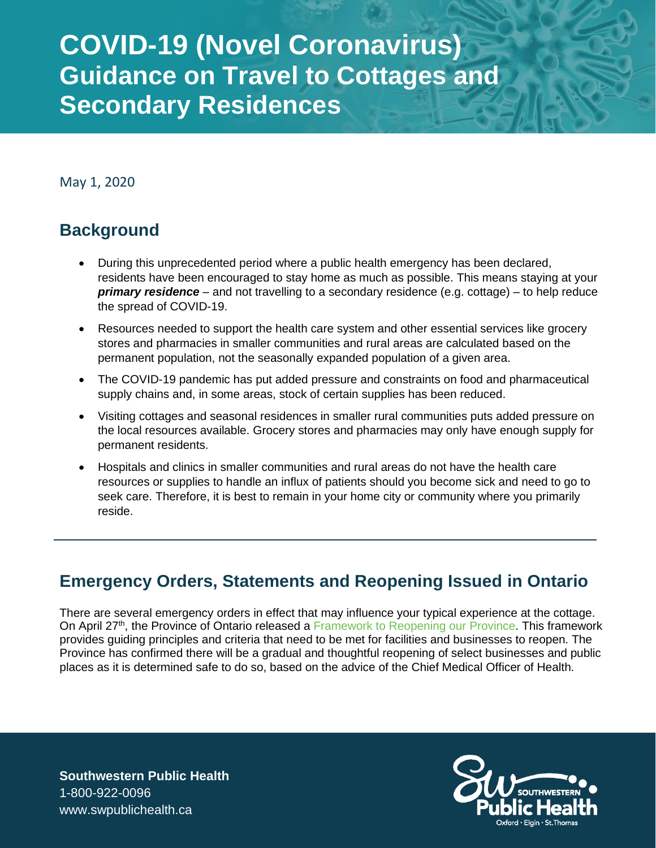## **COVID-19 (Novel Coronavirus) Guidance on Travel to Cottages and Secondary Residences**

May 1, 2020

#### **Background**

- During this unprecedented period where a public health emergency has been declared, residents have been encouraged to stay home as much as possible. This means staying at your *primary residence* – and not travelling to a secondary residence (e.g. cottage) – to help reduce the spread of COVID-19.
- Resources needed to support the health care system and other essential services like grocery stores and pharmacies in smaller communities and rural areas are calculated based on the permanent population, not the seasonally expanded population of a given area.
- The COVID-19 pandemic has put added pressure and constraints on food and pharmaceutical supply chains and, in some areas, stock of certain supplies has been reduced.
- Visiting cottages and seasonal residences in smaller rural communities puts added pressure on the local resources available. Grocery stores and pharmacies may only have enough supply for permanent residents.
- Hospitals and clinics in smaller communities and rural areas do not have the health care resources or supplies to handle an influx of patients should you become sick and need to go to seek care. Therefore, it is best to remain in your home city or community where you primarily reside.

#### **Emergency Orders, Statements and Reopening Issued in Ontario**

There are several emergency orders in effect that may influence your typical experience at the cottage. On April 27<sup>th</sup>, the Province of Ontario released a [Framework to Reopening our Province.](https://www.ontario.ca/page/reopening-ontario-after-covid-19) This framework provides guiding principles and criteria that need to be met for facilities and businesses to reopen. The Province has confirmed there will be a gradual and thoughtful reopening of select businesses and public places as it is determined safe to do so, based on the advice of the Chief Medical Officer of Health.

**Southwestern Public Health** 1-800-922-0096 www.swpublichealth.ca

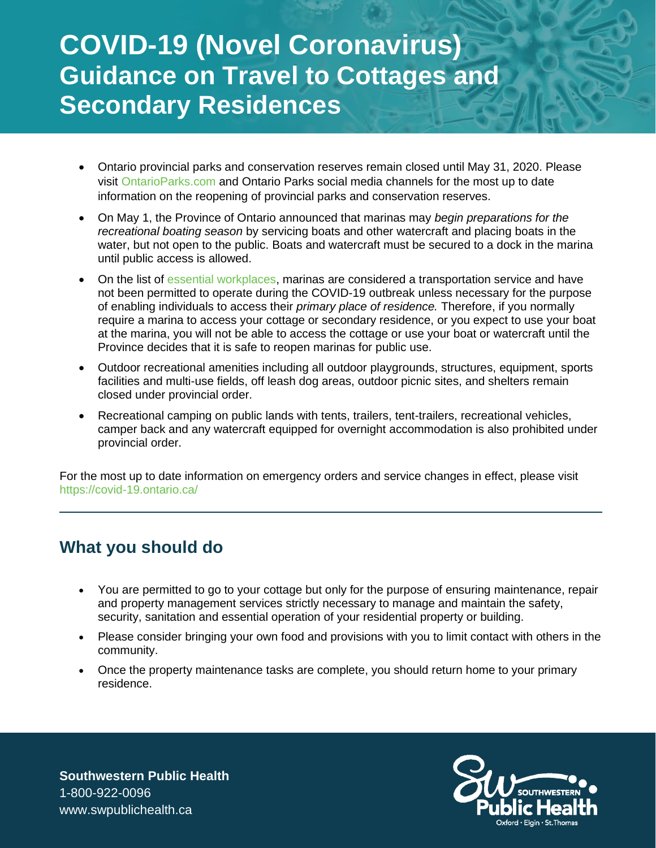# **COVID-19 (Novel Coronavirus) Guidance on Travel to Cottages and Secondary Residences**

- Ontario provincial parks and conservation reserves remain closed until May 31, 2020. Please visit [OntarioParks.com](http://www.ontarioparks.com/) and Ontario Parks social media channels for the most up to date information on the reopening of provincial parks and conservation reserves.
- On May 1, the Province of Ontario announced that marinas may *begin preparations for the recreational boating season* by servicing boats and other watercraft and placing boats in the water, but not open to the public. Boats and watercraft must be secured to a dock in the marina until public access is allowed.
- On the list of [essential workplaces,](https://www.ontario.ca/page/list-essential-workplaces) marinas are considered a transportation service and have not been permitted to operate during the COVID-19 outbreak unless necessary for the purpose of enabling individuals to access their *primary place of residence.* Therefore, if you normally require a marina to access your cottage or secondary residence, or you expect to use your boat at the marina, you will not be able to access the cottage or use your boat or watercraft until the Province decides that it is safe to reopen marinas for public use.
- Outdoor recreational amenities including all outdoor playgrounds, structures, equipment, sports facilities and multi-use fields, off leash dog areas, outdoor picnic sites, and shelters remain closed under provincial order.
- Recreational camping on public lands with tents, trailers, tent-trailers, recreational vehicles, camper back and any watercraft equipped for overnight accommodation is also prohibited under provincial order.

For the most up to date information on emergency orders and service changes in effect, please visit <https://covid-19.ontario.ca/>

#### **What you should do**

- You are permitted to go to your cottage but only for the purpose of ensuring maintenance, repair and property management services strictly necessary to manage and maintain the safety, security, sanitation and essential operation of your residential property or building.
- Please consider bringing your own food and provisions with you to limit contact with others in the community.
- Once the property maintenance tasks are complete, you should return home to your primary residence.

**Southwestern Public Health** 1-800-922-0096 www.swpublichealth.ca